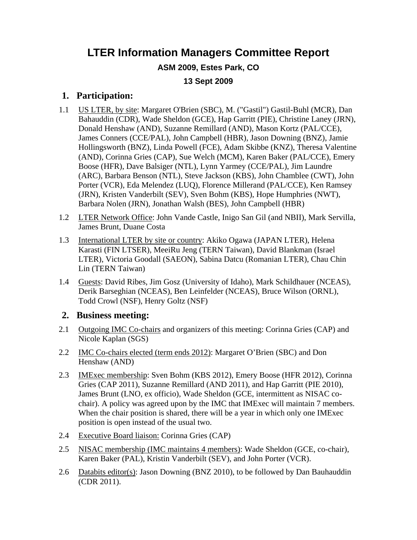### **LTER Information Managers Committee Report**

#### **ASM 2009, Estes Park, CO**

#### **13 Sept 2009**

#### **1. Participation:**

- 1.1 US LTER, by site: Margaret O'Brien (SBC), M. ("Gastil") Gastil-Buhl (MCR), Dan Bahauddin (CDR), Wade Sheldon (GCE), Hap Garritt (PIE), Christine Laney (JRN), Donald Henshaw (AND), Suzanne Remillard (AND), Mason Kortz (PAL/CCE), James Conners (CCE/PAL), John Campbell (HBR), Jason Downing (BNZ), Jamie Hollingsworth (BNZ), Linda Powell (FCE), Adam Skibbe (KNZ), Theresa Valentine (AND), Corinna Gries (CAP), Sue Welch (MCM), Karen Baker (PAL/CCE), Emery Boose (HFR), Dave Balsiger (NTL), Lynn Yarmey (CCE/PAL), Jim Laundre (ARC), Barbara Benson (NTL), Steve Jackson (KBS), John Chamblee (CWT), John Porter (VCR), Eda Melendez (LUQ), Florence Millerand (PAL/CCE), Ken Ramsey (JRN), Kristen Vanderbilt (SEV), Sven Bohm (KBS), Hope Humphries (NWT), Barbara Nolen (JRN), Jonathan Walsh (BES), John Campbell (HBR)
- 1.2 LTER Network Office: John Vande Castle, Inigo San Gil (and NBII), Mark Servilla, James Brunt, Duane Costa
- 1.3 International LTER by site or country: Akiko Ogawa (JAPAN LTER), Helena Karasti (FIN LTSER), MeeiRu Jeng (TERN Taiwan), David Blankman (Israel LTER), Victoria Goodall (SAEON), Sabina Datcu (Romanian LTER), Chau Chin Lin (TERN Taiwan)
- 1.4 Guests: David Ribes, Jim Gosz (University of Idaho), Mark Schildhauer (NCEAS), Derik Barseghian (NCEAS), Ben Leinfelder (NCEAS), Bruce Wilson (ORNL), Todd Crowl (NSF), Henry Goltz (NSF)

#### **2. Business meeting:**

- 2.1 Outgoing IMC Co-chairs and organizers of this meeting: Corinna Gries (CAP) and Nicole Kaplan (SGS)
- 2.2 IMC Co-chairs elected (term ends 2012): Margaret O'Brien (SBC) and Don Henshaw (AND)
- 2.3 IMExec membership: Sven Bohm (KBS 2012), Emery Boose (HFR 2012), Corinna Gries (CAP 2011), Suzanne Remillard (AND 2011), and Hap Garritt (PIE 2010), James Brunt (LNO, ex officio), Wade Sheldon (GCE, intermittent as NISAC cochair). A policy was agreed upon by the IMC that IMExec will maintain 7 members. When the chair position is shared, there will be a year in which only one IMExec position is open instead of the usual two.
- 2.4 Executive Board liaison: Corinna Gries (CAP)
- 2.5 NISAC membership (IMC maintains 4 members): Wade Sheldon (GCE, co-chair), Karen Baker (PAL), Kristin Vanderbilt (SEV), and John Porter (VCR).
- 2.6 Databits editor(s): Jason Downing (BNZ 2010), to be followed by Dan Bauhauddin (CDR 2011).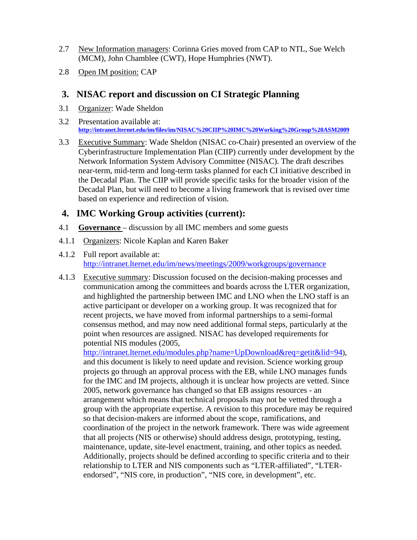- 2.7 New Information managers: Corinna Gries moved from CAP to NTL, Sue Welch (MCM), John Chamblee (CWT), Hope Humphries (NWT).
- 2.8 Open IM position: CAP

#### **3. NISAC report and discussion on CI Strategic Planning**

- 3.1 Organizer: Wade Sheldon
- 3.2 Presentation available at: **http://intranet.lternet.edu/im/files/im/NISAC%20CIIP%20IMC%20Working%20Group%20ASM2009**
- 3.3 Executive Summary: Wade Sheldon (NISAC co-Chair) presented an overview of the Cyberinfrastructure Implementation Plan (CIIP) currently under development by the Network Information System Advisory Committee (NISAC). The draft describes near-term, mid-term and long-term tasks planned for each CI initiative described in the Decadal Plan. The CIIP will provide specific tasks for the broader vision of the Decadal Plan, but will need to become a living framework that is revised over time based on experience and redirection of vision.

#### **4. IMC Working Group activities (current):**

- 4.1 **Governance**  discussion by all IMC members and some guests
- 4.1.1 Organizers: Nicole Kaplan and Karen Baker
- 4.1.2 Full report available at: http://intranet.lternet.edu/im/news/meetings/2009/workgroups/governance
- 4.1.3 Executive summary: Discussion focused on the decision-making processes and communication among the committees and boards across the LTER organization, and highlighted the partnership between IMC and LNO when the LNO staff is an active participant or developer on a working group. It was recognized that for recent projects, we have moved from informal partnerships to a semi-formal consensus method, and may now need additional formal steps, particularly at the point when resources are assigned. NISAC has developed requirements for potential NIS modules (2005,

http://intranet.lternet.edu/modules.php?name=UpDownload&req=getit&lid=94), and this document is likely to need update and revision. Science working group projects go through an approval process with the EB, while LNO manages funds for the IMC and IM projects, although it is unclear how projects are vetted. Since 2005, network governance has changed so that EB assigns resources - an arrangement which means that technical proposals may not be vetted through a group with the appropriate expertise. A revision to this procedure may be required so that decision-makers are informed about the scope, ramifications, and coordination of the project in the network framework. There was wide agreement that all projects (NIS or otherwise) should address design, prototyping, testing, maintenance, update, site-level enactment, training, and other topics as needed. Additionally, projects should be defined according to specific criteria and to their relationship to LTER and NIS components such as "LTER-affiliated", "LTERendorsed", "NIS core, in production", "NIS core, in development", etc.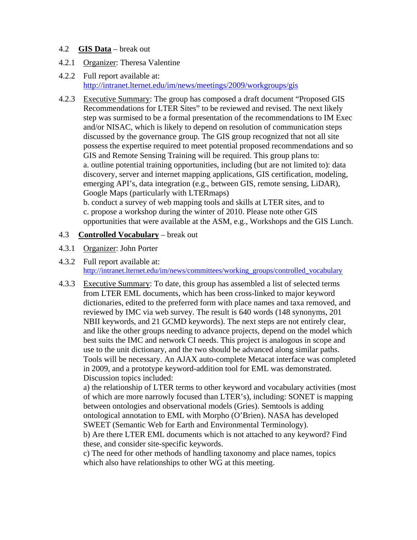#### 4.2 **GIS Data** – break out

- 4.2.1 Organizer: Theresa Valentine
- 4.2.2 Full report available at: http://intranet.lternet.edu/im/news/meetings/2009/workgroups/gis
- 4.2.3 Executive Summary: The group has composed a draft document "Proposed GIS Recommendations for LTER Sites" to be reviewed and revised. The next likely step was surmised to be a formal presentation of the recommendations to IM Exec and/or NISAC, which is likely to depend on resolution of communication steps discussed by the governance group. The GIS group recognized that not all site possess the expertise required to meet potential proposed recommendations and so GIS and Remote Sensing Training will be required. This group plans to: a. outline potential training opportunities, including (but are not limited to): data discovery, server and internet mapping applications, GIS certification, modeling, emerging API's, data integration (e.g., between GIS, remote sensing, LiDAR), Google Maps (particularly with LTERmaps)

b. conduct a survey of web mapping tools and skills at LTER sites, and to c. propose a workshop during the winter of 2010. Please note other GIS opportunities that were available at the ASM, e.g., Workshops and the GIS Lunch.

#### 4.3 **Controlled Vocabulary** – break out

- 4.3.1 Organizer: John Porter
- 4.3.2 Full report available at: http://intranet.lternet.edu/im/news/committees/working\_groups/controlled\_vocabulary
- 4.3.3 Executive Summary: To date, this group has assembled a list of selected terms from LTER EML documents, which has been cross-linked to major keyword dictionaries, edited to the preferred form with place names and taxa removed, and reviewed by IMC via web survey. The result is 640 words (148 synonyms, 201 NBII keywords, and 21 GCMD keywords). The next steps are not entirely clear, and like the other groups needing to advance projects, depend on the model which best suits the IMC and network CI needs. This project is analogous in scope and use to the unit dictionary, and the two should be advanced along similar paths. Tools will be necessary. An AJAX auto-complete Metacat interface was completed in 2009, and a prototype keyword-addition tool for EML was demonstrated. Discussion topics included:

a) the relationship of LTER terms to other keyword and vocabulary activities (most of which are more narrowly focused than LTER's), including: SONET is mapping between ontologies and observational models (Gries). Semtools is adding ontological annotation to EML with Morpho (O'Brien). NASA has developed SWEET (Semantic Web for Earth and Environmental Terminology).

b) Are there LTER EML documents which is not attached to any keyword? Find these, and consider site-specific keywords.

c) The need for other methods of handling taxonomy and place names, topics which also have relationships to other WG at this meeting.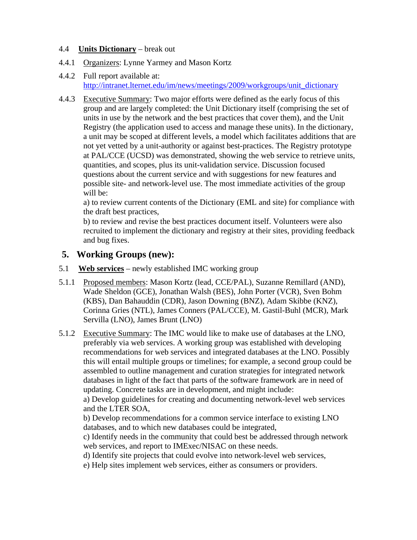#### 4.4 **Units Dictionary** – break out

- 4.4.1 Organizers: Lynne Yarmey and Mason Kortz
- 4.4.2 Full report available at: http://intranet.lternet.edu/im/news/meetings/2009/workgroups/unit\_dictionary
- 4.4.3 Executive Summary: Two major efforts were defined as the early focus of this group and are largely completed: the Unit Dictionary itself (comprising the set of units in use by the network and the best practices that cover them), and the Unit Registry (the application used to access and manage these units). In the dictionary, a unit may be scoped at different levels, a model which facilitates additions that are not yet vetted by a unit-authority or against best-practices. The Registry prototype at PAL/CCE (UCSD) was demonstrated, showing the web service to retrieve units, quantities, and scopes, plus its unit-validation service. Discussion focused questions about the current service and with suggestions for new features and possible site- and network-level use. The most immediate activities of the group will be:

a) to review current contents of the Dictionary (EML and site) for compliance with the draft best practices,

b) to review and revise the best practices document itself. Volunteers were also recruited to implement the dictionary and registry at their sites, providing feedback and bug fixes.

#### **5. Working Groups (new):**

- 5.1 **Web services** newly established IMC working group
- 5.1.1 Proposed members: Mason Kortz (lead, CCE/PAL), Suzanne Remillard (AND), Wade Sheldon (GCE), Jonathan Walsh (BES), John Porter (VCR), Sven Bohm (KBS), Dan Bahauddin (CDR), Jason Downing (BNZ), Adam Skibbe (KNZ), Corinna Gries (NTL), James Conners (PAL/CCE), M. Gastil-Buhl (MCR), Mark Servilla (LNO), James Brunt (LNO)
- 5.1.2 Executive Summary: The IMC would like to make use of databases at the LNO, preferably via web services. A working group was established with developing recommendations for web services and integrated databases at the LNO. Possibly this will entail multiple groups or timelines; for example, a second group could be assembled to outline management and curation strategies for integrated network databases in light of the fact that parts of the software framework are in need of updating. Concrete tasks are in development, and might include:

a) Develop guidelines for creating and documenting network-level web services and the LTER SOA,

b) Develop recommendations for a common service interface to existing LNO databases, and to which new databases could be integrated,

c) Identify needs in the community that could best be addressed through network web services, and report to IMExec/NISAC on these needs.

d) Identify site projects that could evolve into network-level web services,

e) Help sites implement web services, either as consumers or providers.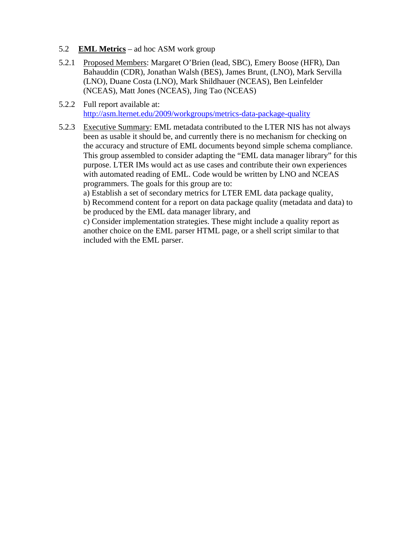- 5.2 **EML Metrics** ad hoc ASM work group
- 5.2.1 Proposed Members: Margaret O'Brien (lead, SBC), Emery Boose (HFR), Dan Bahauddin (CDR), Jonathan Walsh (BES), James Brunt, (LNO), Mark Servilla (LNO), Duane Costa (LNO), Mark Shildhauer (NCEAS), Ben Leinfelder (NCEAS), Matt Jones (NCEAS), Jing Tao (NCEAS)
- 5.2.2 Full report available at: http://asm.lternet.edu/2009/workgroups/metrics-data-package-quality
- 5.2.3 Executive Summary: EML metadata contributed to the LTER NIS has not always been as usable it should be, and currently there is no mechanism for checking on the accuracy and structure of EML documents beyond simple schema compliance. This group assembled to consider adapting the "EML data manager library" for this purpose. LTER IMs would act as use cases and contribute their own experiences with automated reading of EML. Code would be written by LNO and NCEAS programmers. The goals for this group are to:

a) Establish a set of secondary metrics for LTER EML data package quality,

b) Recommend content for a report on data package quality (metadata and data) to be produced by the EML data manager library, and

c) Consider implementation strategies. These might include a quality report as another choice on the EML parser HTML page, or a shell script similar to that included with the EML parser.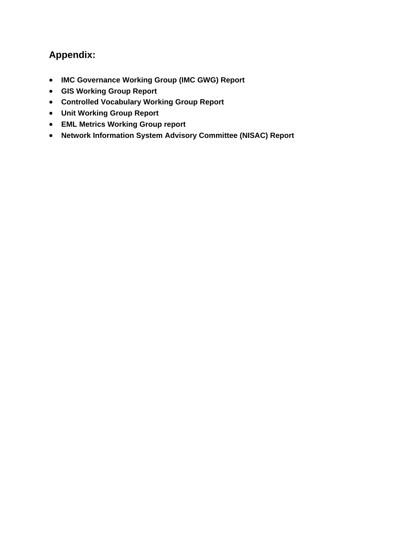### **Appendix:**

- **IMC Governance Working Group (IMC GWG) Report**
- **GIS Working Group Report**
- **Controlled Vocabulary Working Group Report**
- **Unit Working Group Report**
- **EML Metrics Working Group report**
- **Network Information System Advisory Committee (NISAC) Report**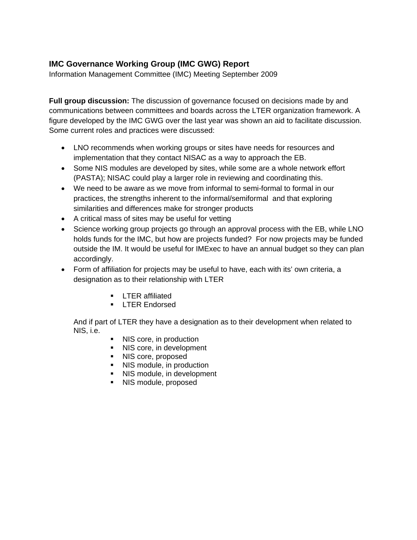#### **IMC Governance Working Group (IMC GWG) Report**

Information Management Committee (IMC) Meeting September 2009

**Full group discussion:** The discussion of governance focused on decisions made by and communications between committees and boards across the LTER organization framework. A figure developed by the IMC GWG over the last year was shown an aid to facilitate discussion. Some current roles and practices were discussed:

- LNO recommends when working groups or sites have needs for resources and implementation that they contact NISAC as a way to approach the EB.
- Some NIS modules are developed by sites, while some are a whole network effort (PASTA); NISAC could play a larger role in reviewing and coordinating this.
- We need to be aware as we move from informal to semi-formal to formal in our practices, the strengths inherent to the informal/semiformal and that exploring similarities and differences make for stronger products
- A critical mass of sites may be useful for vetting
- Science working group projects go through an approval process with the EB, while LNO holds funds for the IMC, but how are projects funded? For now projects may be funded outside the IM. It would be useful for IMExec to have an annual budget so they can plan accordingly.
- Form of affiliation for projects may be useful to have, each with its' own criteria, a designation as to their relationship with LTER
	- **EXECUTER affiliated**
	- **LTER Endorsed**

And if part of LTER they have a designation as to their development when related to NIS, i.e.

- NIS core, in production
- NIS core, in development
- NIS core, proposed
- NIS module, in production
- NIS module, in development
- NIS module, proposed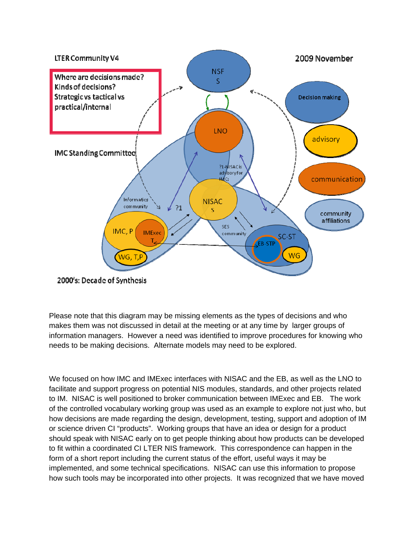

2000's: Decade of Synthesis

Please note that this diagram may be missing elements as the types of decisions and who makes them was not discussed in detail at the meeting or at any time by larger groups of information managers. However a need was identified to improve procedures for knowing who needs to be making decisions. Alternate models may need to be explored.

We focused on how IMC and IMExec interfaces with NISAC and the EB, as well as the LNO to facilitate and support progress on potential NIS modules, standards, and other projects related to IM. NISAC is well positioned to broker communication between IMExec and EB. The work of the controlled vocabulary working group was used as an example to explore not just who, but how decisions are made regarding the design, development, testing, support and adoption of IM or science driven CI "products". Working groups that have an idea or design for a product should speak with NISAC early on to get people thinking about how products can be developed to fit within a coordinated CI LTER NIS framework. This correspondence can happen in the form of a short report including the current status of the effort, useful ways it may be implemented, and some technical specifications. NISAC can use this information to propose how such tools may be incorporated into other projects. It was recognized that we have moved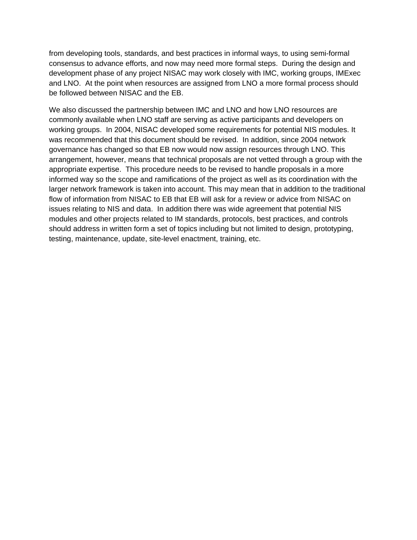from developing tools, standards, and best practices in informal ways, to using semi-formal consensus to advance efforts, and now may need more formal steps. During the design and development phase of any project NISAC may work closely with IMC, working groups, IMExec and LNO. At the point when resources are assigned from LNO a more formal process should be followed between NISAC and the EB.

We also discussed the partnership between IMC and LNO and how LNO resources are commonly available when LNO staff are serving as active participants and developers on working groups. In 2004, NISAC developed some requirements for potential NIS modules. It was recommended that this document should be revised. In addition, since 2004 network governance has changed so that EB now would now assign resources through LNO. This arrangement, however, means that technical proposals are not vetted through a group with the appropriate expertise. This procedure needs to be revised to handle proposals in a more informed way so the scope and ramifications of the project as well as its coordination with the larger network framework is taken into account. This may mean that in addition to the traditional flow of information from NISAC to EB that EB will ask for a review or advice from NISAC on issues relating to NIS and data. In addition there was wide agreement that potential NIS modules and other projects related to IM standards, protocols, best practices, and controls should address in written form a set of topics including but not limited to design, prototyping, testing, maintenance, update, site-level enactment, training, etc.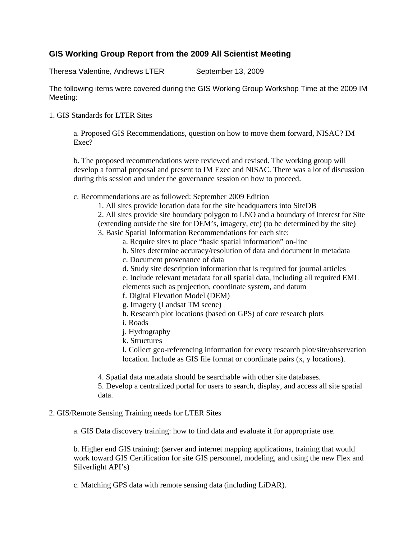#### **GIS Working Group Report from the 2009 All Scientist Meeting**

Theresa Valentine, Andrews LTER September 13, 2009

The following items were covered during the GIS Working Group Workshop Time at the 2009 IM Meeting:

1. GIS Standards for LTER Sites

a. Proposed GIS Recommendations, question on how to move them forward, NISAC? IM Exec?

b. The proposed recommendations were reviewed and revised. The working group will develop a formal proposal and present to IM Exec and NISAC. There was a lot of discussion during this session and under the governance session on how to proceed.

c. Recommendations are as followed: September 2009 Edition

- 1. All sites provide location data for the site headquarters into SiteDB
- 2. All sites provide site boundary polygon to LNO and a boundary of Interest for Site

(extending outside the site for DEM's, imagery, etc) (to be determined by the site)

- 3. Basic Spatial Information Recommendations for each site:
	- a. Require sites to place "basic spatial information" on-line
	- b. Sites determine accuracy/resolution of data and document in metadata
	- c. Document provenance of data
	- d. Study site description information that is required for journal articles
	- e. Include relevant metadata for all spatial data, including all required EML elements such as projection, coordinate system, and datum
	- f. Digital Elevation Model (DEM)
	- g. Imagery (Landsat TM scene)
	- h. Research plot locations (based on GPS) of core research plots
	- i. Roads
	- j. Hydrography
	- k. Structures

l. Collect geo-referencing information for every research plot/site/observation location. Include as GIS file format or coordinate pairs (x, y locations).

4. Spatial data metadata should be searchable with other site databases.

5. Develop a centralized portal for users to search, display, and access all site spatial data.

#### 2. GIS/Remote Sensing Training needs for LTER Sites

a. GIS Data discovery training: how to find data and evaluate it for appropriate use.

b. Higher end GIS training: (server and internet mapping applications, training that would work toward GIS Certification for site GIS personnel, modeling, and using the new Flex and Silverlight API's)

c. Matching GPS data with remote sensing data (including LiDAR).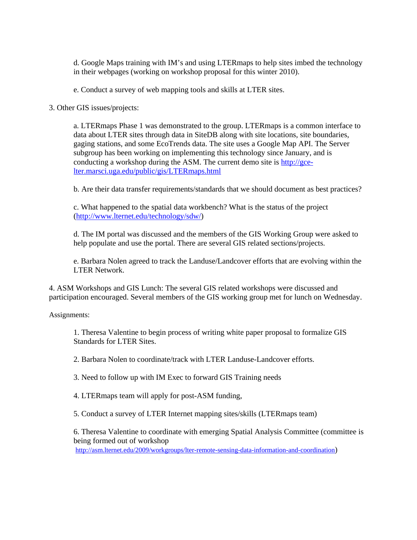d. Google Maps training with IM's and using LTERmaps to help sites imbed the technology in their webpages (working on workshop proposal for this winter 2010).

e. Conduct a survey of web mapping tools and skills at LTER sites.

3. Other GIS issues/projects:

a. LTERmaps Phase 1 was demonstrated to the group. LTERmaps is a common interface to data about LTER sites through data in SiteDB along with site locations, site boundaries, gaging stations, and some EcoTrends data. The site uses a Google Map API. The Server subgroup has been working on implementing this technology since January, and is conducting a workshop during the ASM. The current demo site is http://gcelter.marsci.uga.edu/public/gis/LTERmaps.html

b. Are their data transfer requirements/standards that we should document as best practices?

c. What happened to the spatial data workbench? What is the status of the project (http://www.lternet.edu/technology/sdw/)

d. The IM portal was discussed and the members of the GIS Working Group were asked to help populate and use the portal. There are several GIS related sections/projects.

e. Barbara Nolen agreed to track the Landuse/Landcover efforts that are evolving within the LTER Network.

4. ASM Workshops and GIS Lunch: The several GIS related workshops were discussed and participation encouraged. Several members of the GIS working group met for lunch on Wednesday.

Assignments:

1. Theresa Valentine to begin process of writing white paper proposal to formalize GIS Standards for LTER Sites.

2. Barbara Nolen to coordinate/track with LTER Landuse-Landcover efforts.

3. Need to follow up with IM Exec to forward GIS Training needs

4. LTERmaps team will apply for post-ASM funding,

5. Conduct a survey of LTER Internet mapping sites/skills (LTERmaps team)

6. Theresa Valentine to coordinate with emerging Spatial Analysis Committee (committee is being formed out of workshop

http://asm.lternet.edu/2009/workgroups/lter-remote-sensing-data-information-and-coordination)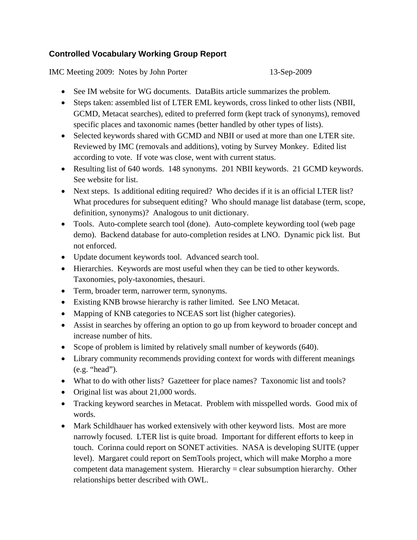#### **Controlled Vocabulary Working Group Report**

IMC Meeting 2009: Notes by John Porter 13-Sep-2009

- See IM website for WG documents. DataBits article summarizes the problem.
- Steps taken: assembled list of LTER EML keywords, cross linked to other lists (NBII, GCMD, Metacat searches), edited to preferred form (kept track of synonyms), removed specific places and taxonomic names (better handled by other types of lists).
- Selected keywords shared with GCMD and NBII or used at more than one LTER site. Reviewed by IMC (removals and additions), voting by Survey Monkey. Edited list according to vote. If vote was close, went with current status.
- Resulting list of 640 words. 148 synonyms. 201 NBII keywords. 21 GCMD keywords. See website for list.
- Next steps. Is additional editing required? Who decides if it is an official LTER list? What procedures for subsequent editing? Who should manage list database (term, scope, definition, synonyms)? Analogous to unit dictionary.
- Tools. Auto-complete search tool (done). Auto-complete keywording tool (web page demo). Backend database for auto-completion resides at LNO. Dynamic pick list. But not enforced.
- Update document keywords tool. Advanced search tool.
- Hierarchies. Keywords are most useful when they can be tied to other keywords. Taxonomies, poly-taxonomies, thesauri.
- Term, broader term, narrower term, synonyms.
- Existing KNB browse hierarchy is rather limited. See LNO Metacat.
- Mapping of KNB categories to NCEAS sort list (higher categories).
- Assist in searches by offering an option to go up from keyword to broader concept and increase number of hits.
- Scope of problem is limited by relatively small number of keywords (640).
- Library community recommends providing context for words with different meanings (e.g. "head").
- What to do with other lists? Gazetteer for place names? Taxonomic list and tools?
- Original list was about 21,000 words.
- Tracking keyword searches in Metacat. Problem with misspelled words. Good mix of words.
- Mark Schildhauer has worked extensively with other keyword lists. Most are more narrowly focused. LTER list is quite broad. Important for different efforts to keep in touch. Corinna could report on SONET activities. NASA is developing SUITE (upper level). Margaret could report on SemTools project, which will make Morpho a more competent data management system. Hierarchy = clear subsumption hierarchy. Other relationships better described with OWL.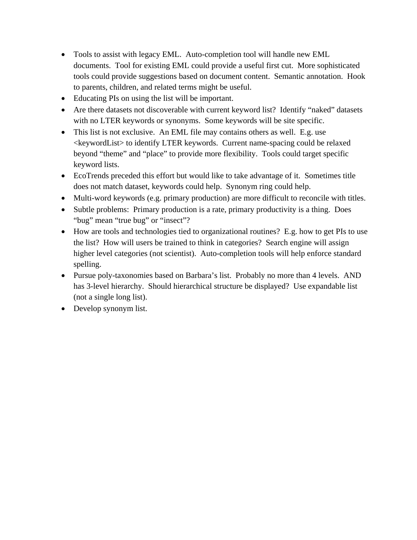- Tools to assist with legacy EML. Auto-completion tool will handle new EML documents. Tool for existing EML could provide a useful first cut. More sophisticated tools could provide suggestions based on document content. Semantic annotation. Hook to parents, children, and related terms might be useful.
- Educating PIs on using the list will be important.
- Are there datasets not discoverable with current keyword list? Identify "naked" datasets with no LTER keywords or synonyms. Some keywords will be site specific.
- This list is not exclusive. An EML file may contains others as well. E.g. use <keywordList> to identify LTER keywords. Current name-spacing could be relaxed beyond "theme" and "place" to provide more flexibility. Tools could target specific keyword lists.
- EcoTrends preceded this effort but would like to take advantage of it. Sometimes title does not match dataset, keywords could help. Synonym ring could help.
- Multi-word keywords (e.g. primary production) are more difficult to reconcile with titles.
- Subtle problems: Primary production is a rate, primary productivity is a thing. Does "bug" mean "true bug" or "insect"?
- How are tools and technologies tied to organizational routines? E.g. how to get PIs to use the list? How will users be trained to think in categories? Search engine will assign higher level categories (not scientist). Auto-completion tools will help enforce standard spelling.
- Pursue poly-taxonomies based on Barbara's list. Probably no more than 4 levels. AND has 3-level hierarchy. Should hierarchical structure be displayed? Use expandable list (not a single long list).
- Develop synonym list.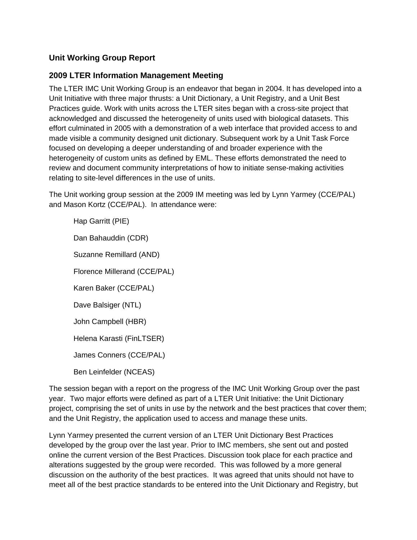#### **Unit Working Group Report**

#### **2009 LTER Information Management Meeting**

The LTER IMC Unit Working Group is an endeavor that began in 2004. It has developed into a Unit Initiative with three major thrusts: a Unit Dictionary, a Unit Registry, and a Unit Best Practices guide. Work with units across the LTER sites began with a cross-site project that acknowledged and discussed the heterogeneity of units used with biological datasets. This effort culminated in 2005 with a demonstration of a web interface that provided access to and made visible a community designed unit dictionary. Subsequent work by a Unit Task Force focused on developing a deeper understanding of and broader experience with the heterogeneity of custom units as defined by EML. These efforts demonstrated the need to review and document community interpretations of how to initiate sense-making activities relating to site-level differences in the use of units.

The Unit working group session at the 2009 IM meeting was led by Lynn Yarmey (CCE/PAL) and Mason Kortz (CCE/PAL). In attendance were:

Hap Garritt (PIE) Dan Bahauddin (CDR) Suzanne Remillard (AND) Florence Millerand (CCE/PAL) Karen Baker (CCE/PAL) Dave Balsiger (NTL) John Campbell (HBR) Helena Karasti (FinLTSER) James Conners (CCE/PAL) Ben Leinfelder (NCEAS)

The session began with a report on the progress of the IMC Unit Working Group over the past year. Two major efforts were defined as part of a LTER Unit Initiative: the Unit Dictionary project, comprising the set of units in use by the network and the best practices that cover them; and the Unit Registry, the application used to access and manage these units.

Lynn Yarmey presented the current version of an LTER Unit Dictionary Best Practices developed by the group over the last year. Prior to IMC members, she sent out and posted online the current version of the Best Practices. Discussion took place for each practice and alterations suggested by the group were recorded. This was followed by a more general discussion on the authority of the best practices. It was agreed that units should not have to meet all of the best practice standards to be entered into the Unit Dictionary and Registry, but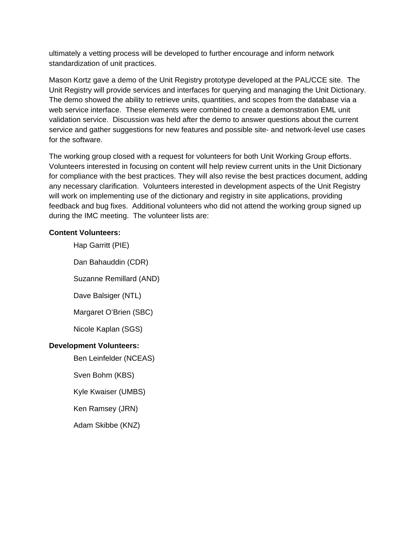ultimately a vetting process will be developed to further encourage and inform network standardization of unit practices.

Mason Kortz gave a demo of the Unit Registry prototype developed at the PAL/CCE site. The Unit Registry will provide services and interfaces for querying and managing the Unit Dictionary. The demo showed the ability to retrieve units, quantities, and scopes from the database via a web service interface. These elements were combined to create a demonstration EML unit validation service. Discussion was held after the demo to answer questions about the current service and gather suggestions for new features and possible site- and network-level use cases for the software.

The working group closed with a request for volunteers for both Unit Working Group efforts. Volunteers interested in focusing on content will help review current units in the Unit Dictionary for compliance with the best practices. They will also revise the best practices document, adding any necessary clarification. Volunteers interested in development aspects of the Unit Registry will work on implementing use of the dictionary and registry in site applications, providing feedback and bug fixes. Additional volunteers who did not attend the working group signed up during the IMC meeting. The volunteer lists are:

#### **Content Volunteers:**

Hap Garritt (PIE)

Dan Bahauddin (CDR)

Suzanne Remillard (AND)

Dave Balsiger (NTL)

Margaret O'Brien (SBC)

Nicole Kaplan (SGS)

#### **Development Volunteers:**

Ben Leinfelder (NCEAS)

Sven Bohm (KBS)

Kyle Kwaiser (UMBS)

Ken Ramsey (JRN)

Adam Skibbe (KNZ)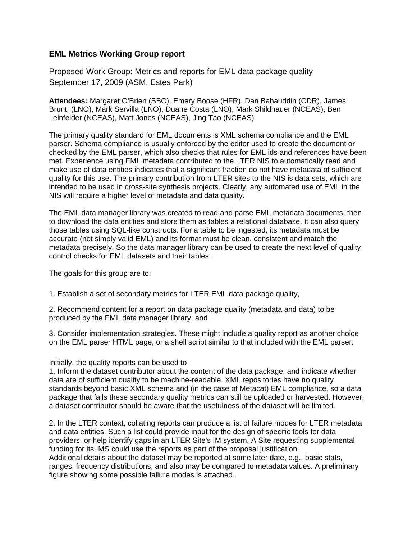#### **EML Metrics Working Group report**

Proposed Work Group: Metrics and reports for EML data package quality September 17, 2009 (ASM, Estes Park)

**Attendees:** Margaret O'Brien (SBC), Emery Boose (HFR), Dan Bahauddin (CDR), James Brunt, (LNO), Mark Servilla (LNO), Duane Costa (LNO), Mark Shildhauer (NCEAS), Ben Leinfelder (NCEAS), Matt Jones (NCEAS), Jing Tao (NCEAS)

The primary quality standard for EML documents is XML schema compliance and the EML parser. Schema compliance is usually enforced by the editor used to create the document or checked by the EML parser, which also checks that rules for EML ids and references have been met. Experience using EML metadata contributed to the LTER NIS to automatically read and make use of data entities indicates that a significant fraction do not have metadata of sufficient quality for this use. The primary contribution from LTER sites to the NIS is data sets, which are intended to be used in cross-site synthesis projects. Clearly, any automated use of EML in the NIS will require a higher level of metadata and data quality.

The EML data manager library was created to read and parse EML metadata documents, then to download the data entities and store them as tables a relational database. It can also query those tables using SQL-like constructs. For a table to be ingested, its metadata must be accurate (not simply valid EML) and its format must be clean, consistent and match the metadata precisely. So the data manager library can be used to create the next level of quality control checks for EML datasets and their tables.

The goals for this group are to:

1. Establish a set of secondary metrics for LTER EML data package quality,

2. Recommend content for a report on data package quality (metadata and data) to be produced by the EML data manager library, and

3. Consider implementation strategies. These might include a quality report as another choice on the EML parser HTML page, or a shell script similar to that included with the EML parser.

#### Initially, the quality reports can be used to

1. Inform the dataset contributor about the content of the data package, and indicate whether data are of sufficient quality to be machine-readable. XML repositories have no quality standards beyond basic XML schema and (in the case of Metacat) EML compliance, so a data package that fails these secondary quality metrics can still be uploaded or harvested. However, a dataset contributor should be aware that the usefulness of the dataset will be limited.

2. In the LTER context, collating reports can produce a list of failure modes for LTER metadata and data entities. Such a list could provide input for the design of specific tools for data providers, or help identify gaps in an LTER Site's IM system. A Site requesting supplemental funding for its IMS could use the reports as part of the proposal justification. Additional details about the dataset may be reported at some later date, e.g., basic stats, ranges, frequency distributions, and also may be compared to metadata values. A preliminary figure showing some possible failure modes is attached.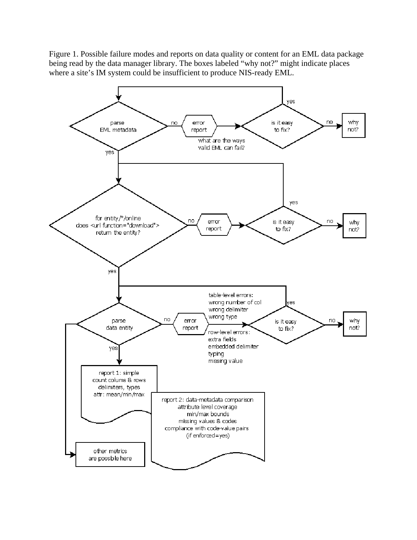Figure 1. Possible failure modes and reports on data quality or content for an EML data package being read by the data manager library. The boxes labeled "why not?" might indicate places where a site's IM system could be insufficient to produce NIS-ready EML.

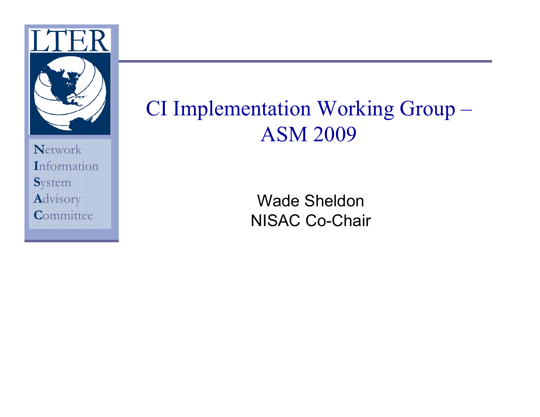

### CI Implementation Working Group-**ASM 2009**

**Wade Sheldon NISAC Co-Chair**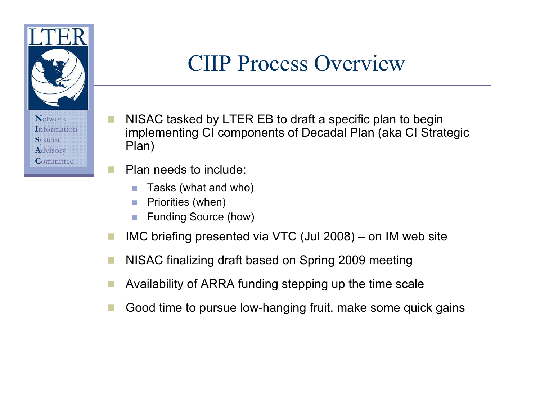

### **CIIP Process Overview**

- NISAC tasked by LTER EB to draft a specific plan to begin implementing CI components of Decadal Plan (aka CI Strategic Plan)
- Plan needs to include:
	- Tasks (what and who)
	- Priorities (when)
	- **Funding Source (how)**  $\mathcal{C}$
- IMC briefing presented via VTC (Jul 2008) on IM web site a a
- NISAC finalizing draft based on Spring 2009 meeting **The State**
- Availability of ARRA funding stepping up the time scale
- Good time to pursue low-hanging fruit, make some quick gains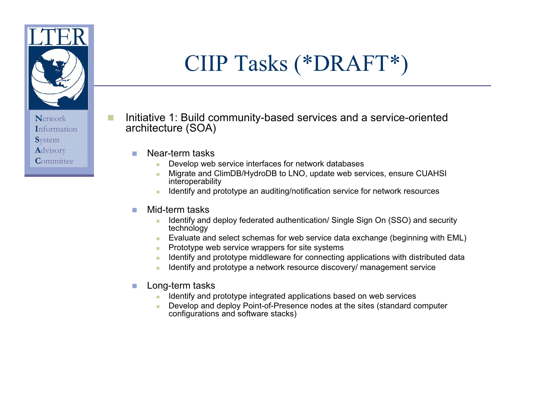

- Initiative 1: Build community-based services and a service-oriented architecture (SOA)
	- Near-term tasks  $\overline{\phantom{a}}$ 
		- Develop web service interfaces for network databases
		- Migrate and ClimDB/HydroDB to LNO, update web services, ensure CUAHSI interoperability
		- Identify and prototype an auditing/notification service for network resources
	- Mid-term tasks m.
		- Identify and deploy federated authentication/ Single Sign On (SSO) and security a. technology
		- Evaluate and select schemas for web service data exchange (beginning with EML) **College**
		- Prototype web service wrappers for site systems
		- Identify and prototype middleware for connecting applications with distributed data
		- Identify and prototype a network resource discovery/ management service
	- Long-term tasks  $\mathcal{C}^{\mathcal{A}}$ 
		- Identify and prototype integrated applications based on web services
		- Develop and deploy Point-of-Presence nodes at the sites (standard computer configurations and software stacks)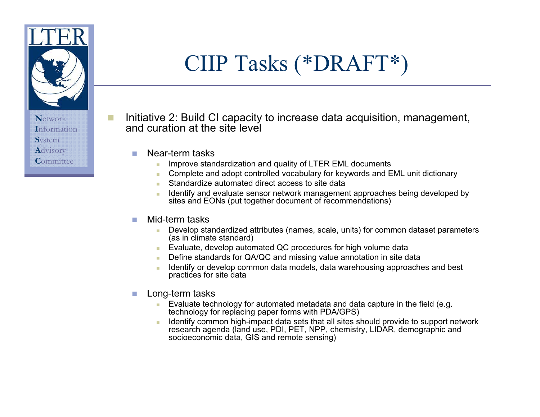

## CIIP Tasks (\*DRAFT\*)

- Initiative 2: Build CI capacity to increase data acquisition, management, and curation at the site level
	- Near-term tasks  $\overline{\phantom{a}}$ 
		- Improve standardization and quality of LTER EML documents ٠
		- Complete and adopt controlled vocabulary for keywords and EML unit dictionary a.
		- Standardize automated direct access to site data
		- Identify and evaluate sensor network management approaches being developed by sites and EONs (put together document of recommendations)

#### Mid-term tasks m.

- Develop standardized attributes (names, scale, units) for common dataset parameters a. (as in climate standard)
- Evaluate, develop automated QC procedures for high volume data
- Define standards for QA/QC and missing value annotation in site data
- Identify or develop common data models, data warehousing approaches and best practices for site data
- Long-term tasks  $\mathcal{C}$ 
	- Evaluate technology for automated metadata and data capture in the field (e.g. technology for replacing paper forms with PDA/GPS)
	- Identify common high-impact data sets that all sites should provide to support network research agenda (land use, PDI, PET, NPP, chemistry, LIDAR, demographic and socioeconomic data, GIS and remote sensing)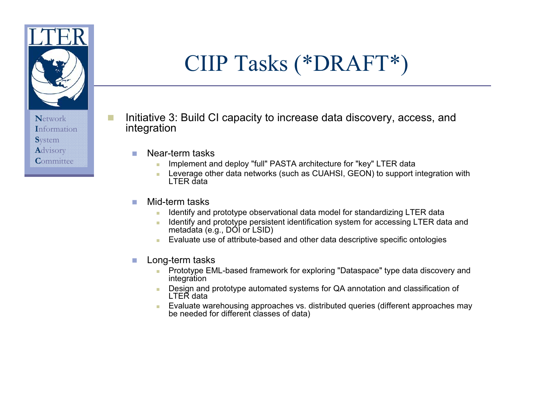

- Initiative 3: Build CI capacity to increase data discovery, access, and integration
	- Near-term tasks  $\overline{\phantom{a}}$ 
		- Implement and deploy "full" PASTA architecture for "key" LTER data
		- Leverage other data networks (such as CUAHSI, GEON) to support integration with ×. LTER data
	- Mid-term tasks m.
		- Identify and prototype observational data model for standardizing LTER data
		- Identify and prototype persistent identification system for accessing LTER data and  $\mathcal{L}_{\mathcal{A}}$ metadata (e.g., DÓI or LSID)
		- Evaluate use of attribute-based and other data descriptive specific ontologies m.
	- Long-term tasks  $\mathcal{C}$ 
		- Prototype EML-based framework for exploring "Dataspace" type data discovery and m. integration
		- Design and prototype automated systems for QA annotation and classification of m. LTER data
		- Evaluate warehousing approaches vs. distributed queries (different approaches may be needed for different classes of data)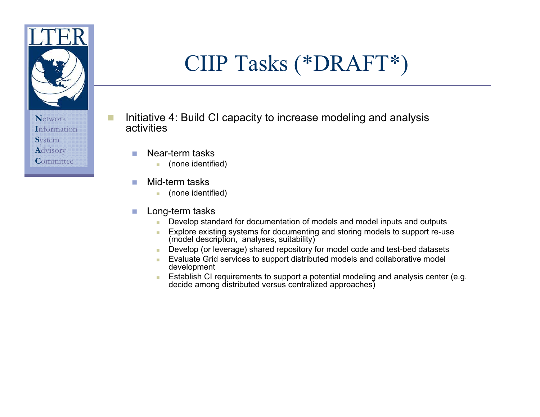

- Initiative 4: Build CI capacity to increase modeling and analysis activities
	- Near-term tasks  $\overline{\phantom{a}}$ 
		- (none identified) m.
	- Mid-term tasks  $\mathcal{C}^{\mathcal{A}}$ 
		- (none identified) m.
	- Long-term tasks T.
		- Develop standard for documentation of models and model inputs and outputs m.
		- Explore existing systems for documenting and storing models to support re-use m. (model description, analyses, suitability)
		- Develop (or leverage) shared repository for model code and test-bed datasets m.
		- Evaluate Grid services to support distributed models and collaborative model development
		- **Establish CI requirements to support a potential modeling and analysis center (e.g.** decide among distributed versus centralized approaches)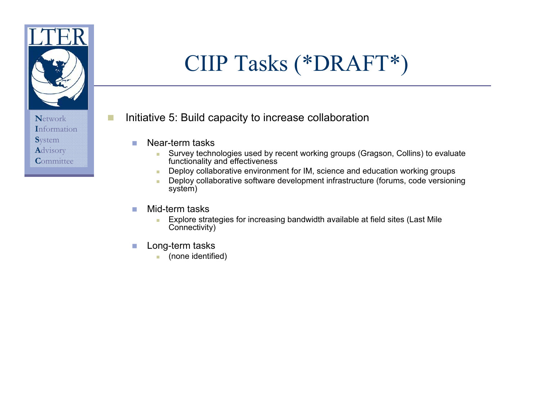

П

- Initiative 5: Build capacity to increase collaboration
	- Near-term tasks T.
		- Survey technologies used by recent working groups (Gragson, Collins) to evaluate a. functionality and effectiveness
		- Deploy collaborative environment for IM, science and education working groups m.
		- Deploy collaborative software development infrastructure (forums, code versioning m. system)
	- Mid-term tasks m.
		- Explore strategies for increasing bandwidth available at field sites (Last Mile a. Connectivity)
	- Long-term tasks  $\mathcal{C}^{\mathcal{A}}$ 
		- (none identified) **College**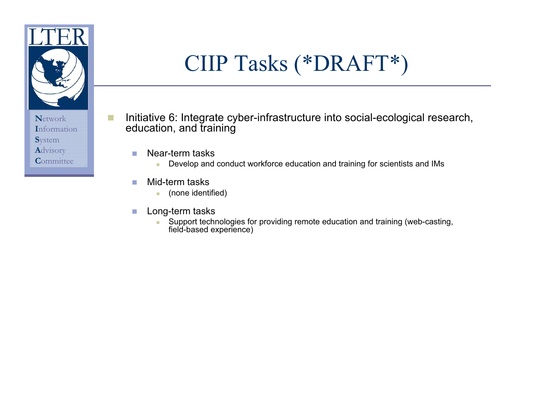

- Initiative 6: Integrate cyber-infrastructure into social-ecological research, П education, and training
	- Near-term tasks  $\mathcal{C}$ 
		- Develop and conduct workforce education and training for scientists and IMs m.
	- Mid-term tasks T.
		- (none identified) m.
	- Long-term tasks  $\mathcal{C}$ 
		- Support technologies for providing remote education and training (web-casting, field-based experience) a.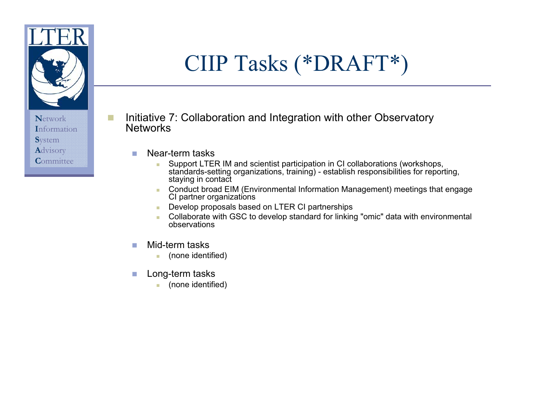

- Initiative 7: Collaboration and Integration with other Observatory П **Networks** 
	- Near-term tasks **COL** 
		- Support LTER IM and scientist participation in CI collaborations (workshops, a. standards-setting organizations, training) - establish responsibilities for reporting, staying in contact
		- Conduct broad EIM (Environmental Information Management) meetings that engage  $\mathbf{r}$ CI partner organizations
		- Develop proposals based on LTER CI partnerships E.
		- Collaborate with GSC to develop standard for linking "omic" data with environmental m. observations
	- Mid-term tasks **COL** 
		- (none identified)  $\overline{\phantom{a}}$
	- Long-term tasks **The State** 
		- (none identified) a.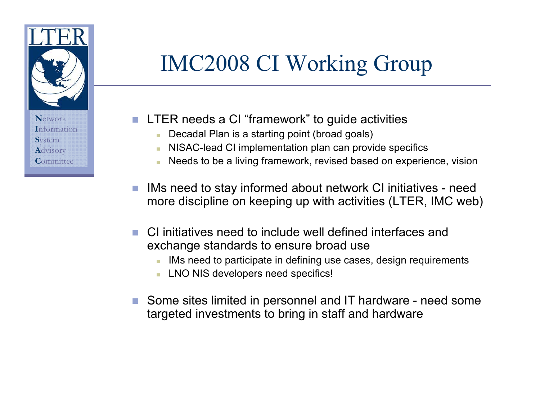

# **IMC2008 CI Working Group**

- LTER needs a CI "framework" to quide activities
	- Decadal Plan is a starting point (broad goals)
	- NISAC-lead CI implementation plan can provide specifics
	- Needs to be a living framework, revised based on experience, vision
- IMs need to stay informed about network CI initiatives need  $\mathcal{C}^{\mathcal{A}}$ more discipline on keeping up with activities (LTER, IMC web)
- CI initiatives need to include well defined interfaces and exchange standards to ensure broad use
	- IMs need to participate in defining use cases, design requirements
	- LNO NIS developers need specifics!
- Some sites limited in personnel and IT hardware need some targeted investments to bring in staff and hardware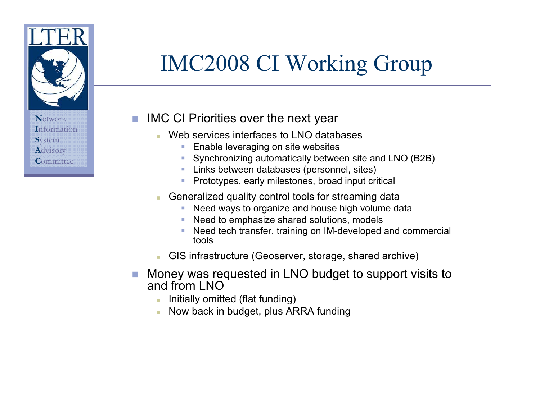

# **IMC2008 CI Working Group**

**IMC CI Priorities over the next year**  $\mathcal{C}^{\mathcal{A}}$ 

- Web services interfaces to LNO databases
	- Enable leveraging on site websites  $\overline{\phantom{a}}$
	- Synchronizing automatically between site and LNO (B2B)
	- Links between databases (personnel, sites)
	- Prototypes, early milestones, broad input critical T.
- Generalized quality control tools for streaming data m.
	- Need ways to organize and house high volume data a.
	- Need to emphasize shared solutions, models
	- Need tech transfer, training on IM-developed and commercial tools
- GIS infrastructure (Geoserver, storage, shared archive)
- Money was requested in LNO budget to support visits to  $\mathcal{C}_{\mathcal{A}}$ and from LNO
	- Initially omitted (flat funding)
	- Now back in budget, plus ARRA funding  $\mathcal{L}_{\mathcal{A}}$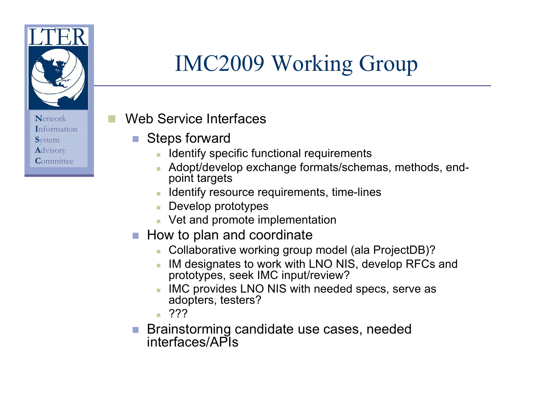

# **IMC2009 Working Group**

### Web Service Interfaces

- **Steps forward** T.
	- **In Identify specific functional requirements**
	- Adopt/develop exchange formats/schemas, methods, endpoint targets
	- Identify resource requirements, time-lines
	- Develop prototypes
	- Vet and promote implementation
- How to plan and coordinate
	- Collaborative working group model (ala ProjectDB)?
	- IM designates to work with LNO NIS, develop RFCs and prototypes, seek IMC input/review?
	- IMC provides LNO NIS with needed specs, serve as adopters, testers?
	- $\sqrt{272}$
- Brainstorming candidate use cases, needed  $\mathcal{L}^{\mathcal{L}}$ interfaces/APIs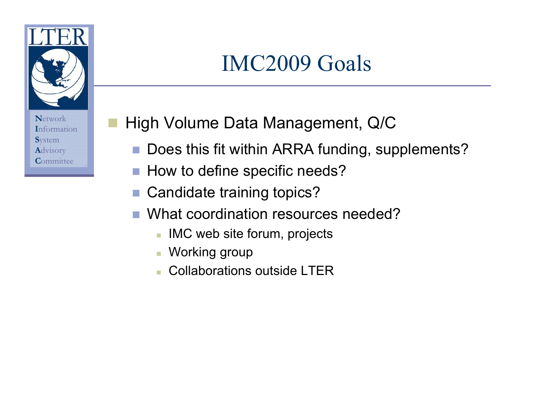

## **IMC2009 Goals**

Network **Information S**vstem Advisory Committee

### High Volume Data Management, Q/C

- Does this fit within ARRA funding, supplements?  $\mathcal{L}_{\mathcal{A}}$
- How to define specific needs?  $\mathcal{C}^{\mathcal{A}}$
- Candidate training topics?  $\mathcal{L}_{\mathcal{A}}$
- What coordination resources needed?
	- IMC web site forum, projects
	- Working group
	- Collaborations outside LTER